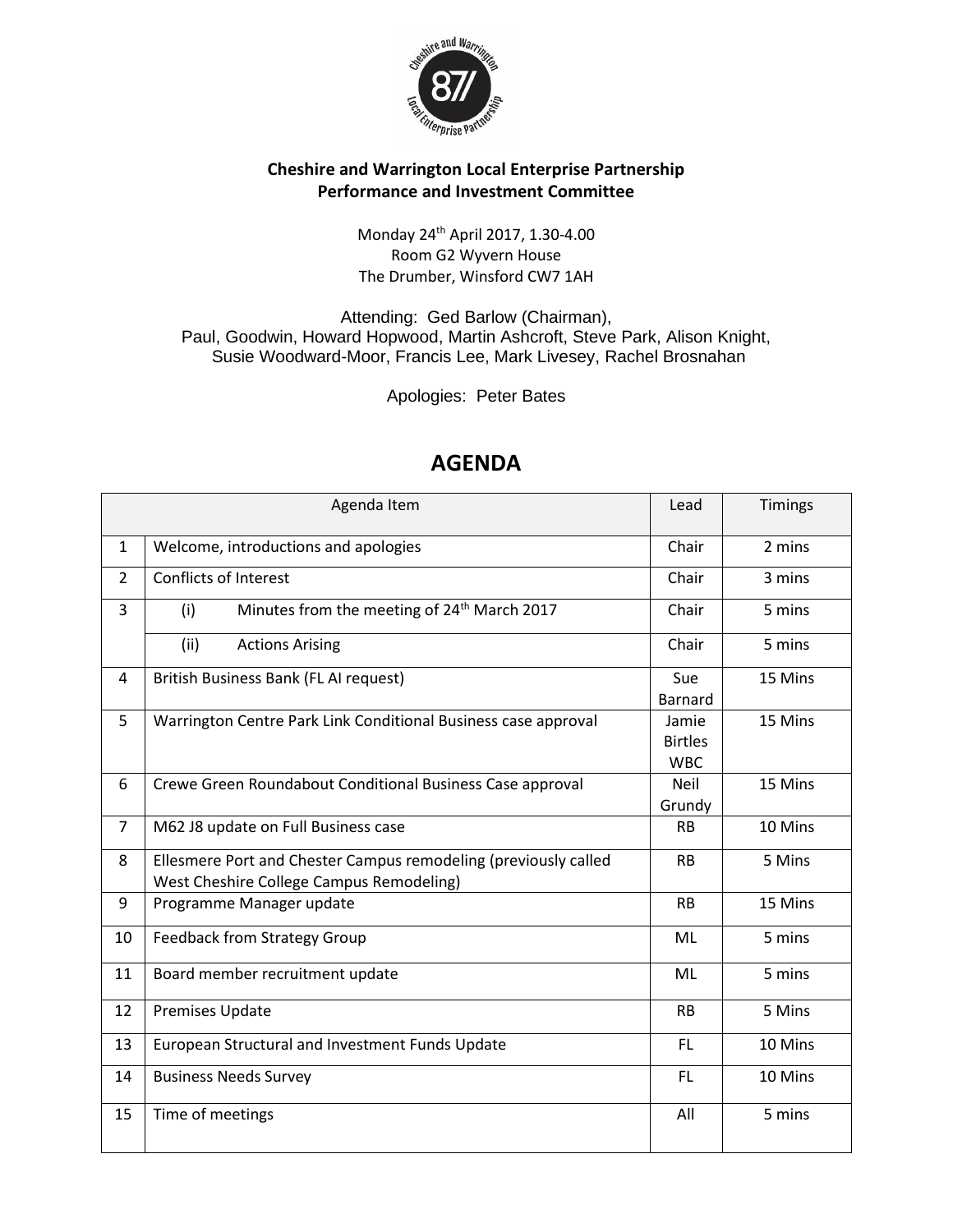

## **Cheshire and Warrington Local Enterprise Partnership Performance and Investment Committee**

## Monday 24th April 2017, 1.30-4.00 Room G2 Wyvern House [The Drumber, Winsford CW7 1AH](https://www.bing.com/local?lid=YN1029x5241602937823607499&id=YN1029x5241602937823607499&q=Wyvern+House&name=Wyvern+House&cp=53.1899757385254%7e-2.52635097503662&ppois=53.1899757385254_-2.52635097503662_Wyvern+House&FORM=SNAPST)

Attending: Ged Barlow (Chairman), Paul, Goodwin, Howard Hopwood, Martin Ashcroft, Steve Park, Alison Knight, Susie Woodward-Moor, Francis Lee, Mark Livesey, Rachel Brosnahan

Apologies: Peter Bates

| Agenda Item    |                                                                                                             |                                       | Timings |
|----------------|-------------------------------------------------------------------------------------------------------------|---------------------------------------|---------|
| $\mathbf{1}$   | Welcome, introductions and apologies                                                                        | Chair                                 | 2 mins  |
| $\overline{2}$ | Conflicts of Interest                                                                                       | Chair                                 | 3 mins  |
| 3              | Minutes from the meeting of 24 <sup>th</sup> March 2017<br>(i)                                              | Chair                                 | 5 mins  |
|                | (ii)<br><b>Actions Arising</b>                                                                              | Chair                                 | 5 mins  |
| 4              | British Business Bank (FL AI request)                                                                       | Sue<br>Barnard                        | 15 Mins |
| 5              | Warrington Centre Park Link Conditional Business case approval                                              | Jamie<br><b>Birtles</b><br><b>WBC</b> | 15 Mins |
| 6              | Crewe Green Roundabout Conditional Business Case approval                                                   | <b>Neil</b><br>Grundy                 | 15 Mins |
| 7              | M62 J8 update on Full Business case                                                                         | <b>RB</b>                             | 10 Mins |
| 8              | Ellesmere Port and Chester Campus remodeling (previously called<br>West Cheshire College Campus Remodeling) | <b>RB</b>                             | 5 Mins  |
| 9              | Programme Manager update                                                                                    | <b>RB</b>                             | 15 Mins |
| 10             | <b>Feedback from Strategy Group</b>                                                                         | ML                                    | 5 mins  |
| 11             | Board member recruitment update                                                                             | ML                                    | 5 mins  |
| 12             | <b>Premises Update</b>                                                                                      | <b>RB</b>                             | 5 Mins  |
| 13             | European Structural and Investment Funds Update                                                             | FL.                                   | 10 Mins |
| 14             | <b>Business Needs Survey</b>                                                                                | FL.                                   | 10 Mins |
| 15             | Time of meetings                                                                                            | All                                   | 5 mins  |

## **AGENDA**